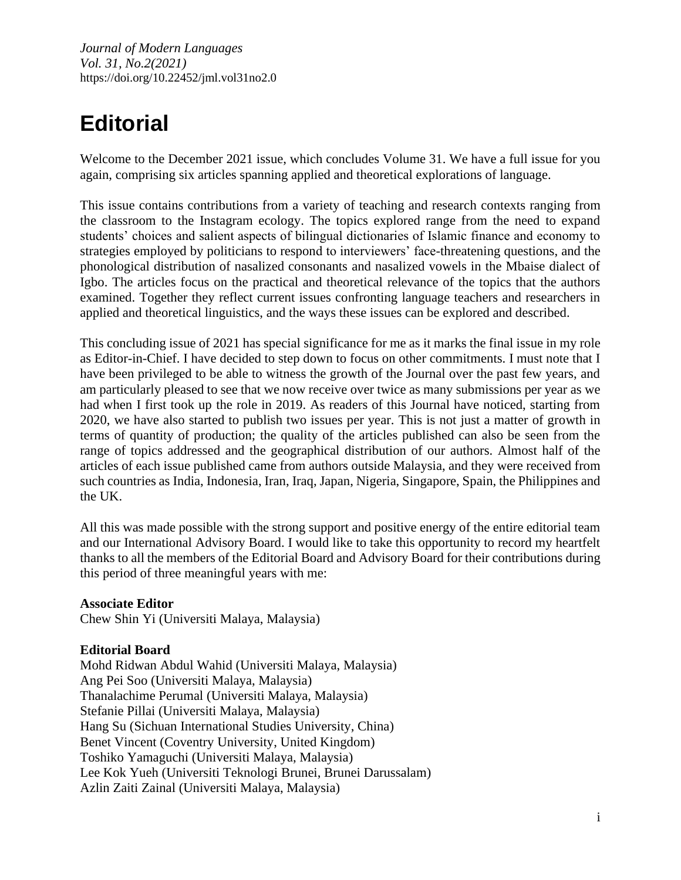*Journal of Modern Languages Vol. 31, No.2(2021)* https://doi.org/10.22452/jml.vol31no2.0

## **Editorial**

Welcome to the December 2021 issue, which concludes Volume 31. We have a full issue for you again, comprising six articles spanning applied and theoretical explorations of language.

This issue contains contributions from a variety of teaching and research contexts ranging from the classroom to the Instagram ecology. The topics explored range from the need to expand students' choices and salient aspects of bilingual dictionaries of Islamic finance and economy to strategies employed by politicians to respond to interviewers' face-threatening questions, and the phonological distribution of nasalized consonants and nasalized vowels in the Mbaise dialect of Igbo. The articles focus on the practical and theoretical relevance of the topics that the authors examined. Together they reflect current issues confronting language teachers and researchers in applied and theoretical linguistics, and the ways these issues can be explored and described.

This concluding issue of 2021 has special significance for me as it marks the final issue in my role as Editor-in-Chief. I have decided to step down to focus on other commitments. I must note that I have been privileged to be able to witness the growth of the Journal over the past few years, and am particularly pleased to see that we now receive over twice as many submissions per year as we had when I first took up the role in 2019. As readers of this Journal have noticed, starting from 2020, we have also started to publish two issues per year. This is not just a matter of growth in terms of quantity of production; the quality of the articles published can also be seen from the range of topics addressed and the geographical distribution of our authors. Almost half of the articles of each issue published came from authors outside Malaysia, and they were received from such countries as India, Indonesia, Iran, Iraq, Japan, Nigeria, Singapore, Spain, the Philippines and the UK.

All this was made possible with the strong support and positive energy of the entire editorial team and our International Advisory Board. I would like to take this opportunity to record my heartfelt thanks to all the members of the Editorial Board and Advisory Board for their contributions during this period of three meaningful years with me:

## **Associate Editor**

Chew Shin Yi (Universiti Malaya, Malaysia)

## **Editorial Board**

Mohd Ridwan Abdul Wahid (Universiti Malaya, Malaysia) Ang Pei Soo (Universiti Malaya, Malaysia) Thanalachime Perumal (Universiti Malaya, Malaysia) Stefanie Pillai (Universiti Malaya, Malaysia) Hang Su (Sichuan International Studies University, China) Benet Vincent (Coventry University, United Kingdom) Toshiko Yamaguchi (Universiti Malaya, Malaysia) Lee Kok Yueh (Universiti Teknologi Brunei, Brunei Darussalam) Azlin Zaiti Zainal (Universiti Malaya, Malaysia)